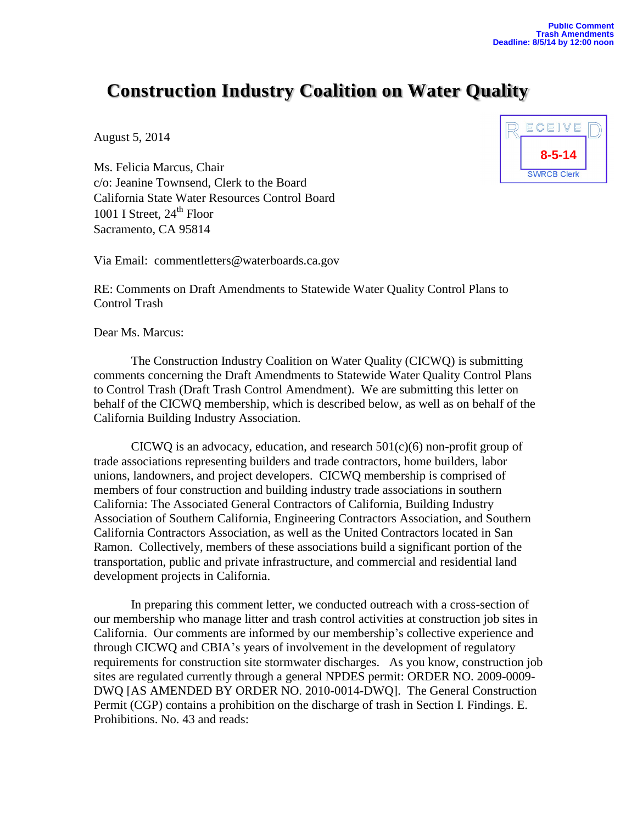## **Construction Industry Coalition on Water Quality**

August 5, 2014

Ms. Felicia Marcus, Chair c/o: Jeanine Townsend, Clerk to the Board California State Water Resources Control Board 1001 I Street,  $24<sup>th</sup>$  Floor Sacramento, CA 95814

Via Email: [commentletters@waterboards.ca.gov](mailto:commentletters@waterboards.ca.gov?subject=Comment%20Letter-(topic):)

RE: Comments on Draft Amendments to Statewide Water Quality Control Plans to Control Trash

Dear Ms. Marcus:

The Construction Industry Coalition on Water Quality (CICWQ) is submitting comments concerning the Draft Amendments to Statewide Water Quality Control Plans to Control Trash (Draft Trash Control Amendment). We are submitting this letter on behalf of the CICWQ membership, which is described below, as well as on behalf of the California Building Industry Association.

CICWQ is an advocacy, education, and research  $501(c)(6)$  non-profit group of trade associations representing builders and trade contractors, home builders, labor unions, landowners, and project developers. CICWQ membership is comprised of members of four construction and building industry trade associations in southern California: The Associated General Contractors of California, Building Industry Association of Southern California, Engineering Contractors Association, and Southern California Contractors Association, as well as the United Contractors located in San Ramon. Collectively, members of these associations build a significant portion of the transportation, public and private infrastructure, and commercial and residential land development projects in California.

In preparing this comment letter, we conducted outreach with a cross-section of our membership who manage litter and trash control activities at construction job sites in California. Our comments are informed by our membership's collective experience and through CICWQ and CBIA's years of involvement in the development of regulatory requirements for construction site stormwater discharges. As you know, construction job sites are regulated currently through a general NPDES permit: ORDER NO. 2009-0009- DWQ [AS AMENDED BY ORDER NO. 2010-0014-DWQ]. The General Construction Permit (CGP) contains a prohibition on the discharge of trash in Section I. Findings. E. Prohibitions. No. 43 and reads:

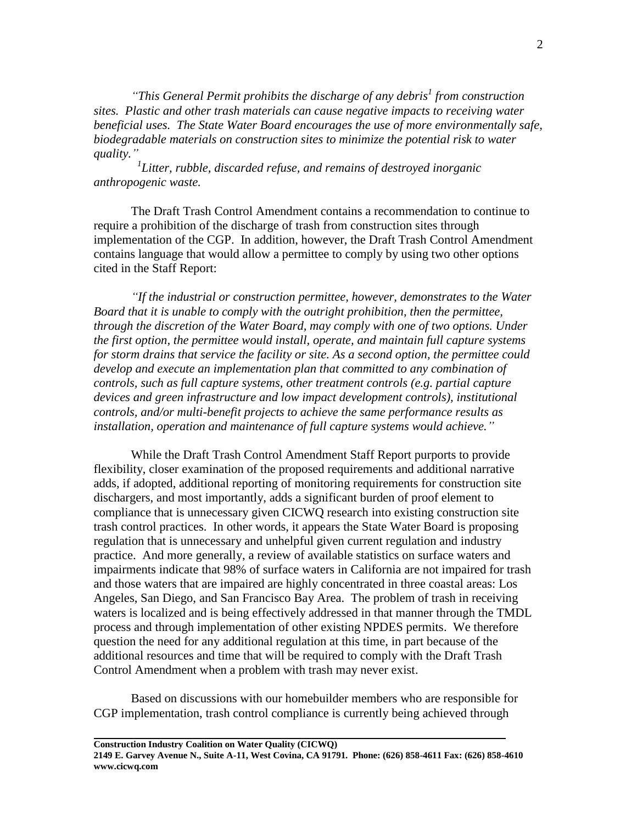*"This General Permit prohibits the discharge of any debris<sup>1</sup> from construction sites. Plastic and other trash materials can cause negative impacts to receiving water beneficial uses. The State Water Board encourages the use of more environmentally safe, biodegradable materials on construction sites to minimize the potential risk to water quality."*

*1 Litter, rubble, discarded refuse, and remains of destroyed inorganic anthropogenic waste.*

The Draft Trash Control Amendment contains a recommendation to continue to require a prohibition of the discharge of trash from construction sites through implementation of the CGP. In addition, however, the Draft Trash Control Amendment contains language that would allow a permittee to comply by using two other options cited in the Staff Report:

*"If the industrial or construction permittee, however, demonstrates to the Water Board that it is unable to comply with the outright prohibition, then the permittee, through the discretion of the Water Board, may comply with one of two options. Under the first option, the permittee would install, operate, and maintain full capture systems for storm drains that service the facility or site. As a second option, the permittee could develop and execute an implementation plan that committed to any combination of controls, such as full capture systems, other treatment controls (e.g. partial capture devices and green infrastructure and low impact development controls), institutional controls, and/or multi-benefit projects to achieve the same performance results as installation, operation and maintenance of full capture systems would achieve."*

While the Draft Trash Control Amendment Staff Report purports to provide flexibility, closer examination of the proposed requirements and additional narrative adds, if adopted, additional reporting of monitoring requirements for construction site dischargers, and most importantly, adds a significant burden of proof element to compliance that is unnecessary given CICWQ research into existing construction site trash control practices. In other words, it appears the State Water Board is proposing regulation that is unnecessary and unhelpful given current regulation and industry practice. And more generally, a review of available statistics on surface waters and impairments indicate that 98% of surface waters in California are not impaired for trash and those waters that are impaired are highly concentrated in three coastal areas: Los Angeles, San Diego, and San Francisco Bay Area. The problem of trash in receiving waters is localized and is being effectively addressed in that manner through the TMDL process and through implementation of other existing NPDES permits. We therefore question the need for any additional regulation at this time, in part because of the additional resources and time that will be required to comply with the Draft Trash Control Amendment when a problem with trash may never exist.

Based on discussions with our homebuilder members who are responsible for CGP implementation, trash control compliance is currently being achieved through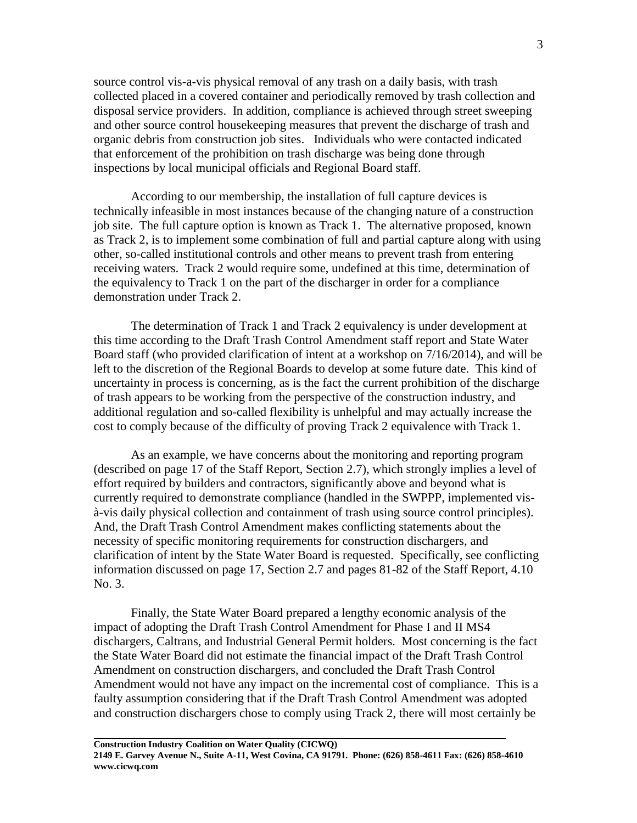source control vis-a-vis physical removal of any trash on a daily basis, with trash collected placed in a covered container and periodically removed by trash collection and disposal service providers. In addition, compliance is achieved through street sweeping and other source control housekeeping measures that prevent the discharge of trash and organic debris from construction job sites. Individuals who were contacted indicated that enforcement of the prohibition on trash discharge was being done through inspections by local municipal officials and Regional Board staff.

According to our membership, the installation of full capture devices is technically infeasible in most instances because of the changing nature of a construction job site. The full capture option is known as Track 1. The alternative proposed, known as Track 2, is to implement some combination of full and partial capture along with using other, so-called institutional controls and other means to prevent trash from entering receiving waters. Track 2 would require some, undefined at this time, determination of the equivalency to Track 1 on the part of the discharger in order for a compliance demonstration under Track 2.

The determination of Track 1 and Track 2 equivalency is under development at this time according to the Draft Trash Control Amendment staff report and State Water Board staff (who provided clarification of intent at a workshop on 7/16/2014), and will be left to the discretion of the Regional Boards to develop at some future date. This kind of uncertainty in process is concerning, as is the fact the current prohibition of the discharge of trash appears to be working from the perspective of the construction industry, and additional regulation and so-called flexibility is unhelpful and may actually increase the cost to comply because of the difficulty of proving Track 2 equivalence with Track 1.

As an example, we have concerns about the monitoring and reporting program (described on page 17 of the Staff Report, Section 2.7), which strongly implies a level of effort required by builders and contractors, significantly above and beyond what is currently required to demonstrate compliance (handled in the SWPPP, implemented visà-vis daily physical collection and containment of trash using source control principles). And, the Draft Trash Control Amendment makes conflicting statements about the necessity of specific monitoring requirements for construction dischargers, and clarification of intent by the State Water Board is requested. Specifically, see conflicting information discussed on page 17, Section 2.7 and pages 81-82 of the Staff Report, 4.10 No. 3.

Finally, the State Water Board prepared a lengthy economic analysis of the impact of adopting the Draft Trash Control Amendment for Phase I and II MS4 dischargers, Caltrans, and Industrial General Permit holders. Most concerning is the fact the State Water Board did not estimate the financial impact of the Draft Trash Control Amendment on construction dischargers, and concluded the Draft Trash Control Amendment would not have any impact on the incremental cost of compliance. This is a faulty assumption considering that if the Draft Trash Control Amendment was adopted and construction dischargers chose to comply using Track 2, there will most certainly be